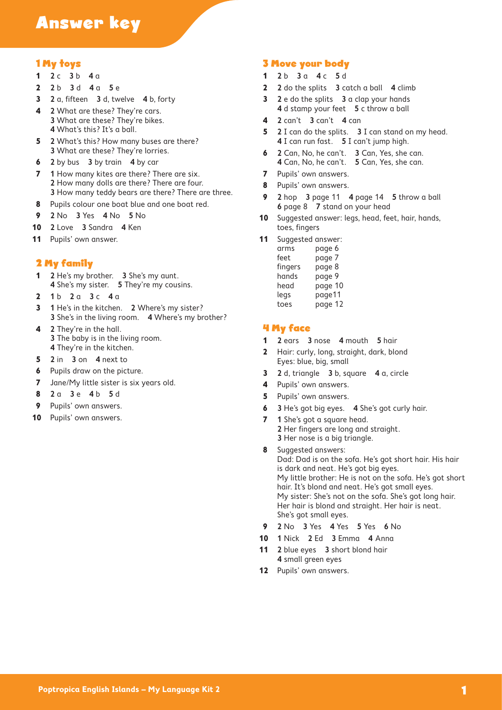# Answer key

#### 1 My toys

- **2** c **3** b **4** a
- **2** b **3** d **4** a **5** e
- **2** a, fifteen **3** d, twelve **4** b, forty
- **2** What are these? They're cars. What are these? They're bikes. What's this? It's a ball.
- **2** What's this? How many buses are there? What are these? They're lorries.
- **2** by bus **3** by train **4** by car
- **1** How many kites are there? There are six. How many dolls are there? There are four. How many teddy bears are there? There are three.
- Pupils colour one boat blue and one boat red.
- **2** No **3** Yes **4** No **5** No
- **2** Love **3** Sandra **4** Ken
- 11 Pupils' own answer.

#### 2 My family

- **2** He's my brother. **3** She's my aunt. She's my sister. **5** They're my cousins.
- **1** b **2** a **3** c **4** a
- **1** He's in the kitchen. **2** Where's my sister? She's in the living room. **4** Where's my brother?
- **2** They're in the hall. The baby is in the living room. They're in the kitchen.
- **2** in **3** on **4** next to
- Pupils draw on the picture.
- Jane/My little sister is six years old.
- **2** a **3** e **4** b **5** d
- Pupils' own answers.
- Pupils' own answers.

## 3 Move your body

- **2** b **3** a **4** c **5** d
- **2** do the splits **3** catch a ball **4** climb
- **2** e do the splits **3** a clap your hands d stamp your feet **5** c throw a ball
- **2** can't **3** can't **4** can
- **2** I can do the splits. **3** I can stand on my head. I can run fast. **5** I can't jump high.
- **2** Can, No, he can't. **3** Can, Yes, she can. Can, No, he can't. **5** Can, Yes, she can.
- Pupils' own answers.
- Pupils' own answers.
- **2** hop **3** page 11 **4** page 14 **5** throw a ball page 8 **7** stand on your head
- Suggested answer: legs, head, feet, hair, hands, toes, fingers
- Suggested answer:

| arms    | page 6  |
|---------|---------|
| feet    | page /  |
| fingers | page 8  |
| hands   | page 9  |
| head    | page 10 |
| legs    | page11  |
| toes    | page 12 |

#### 4 My face

- **2** ears **3** nose **4** mouth **5** hair
- Hair: curly, long, straight, dark, blond Eyes: blue, big, small
- **2** d, triangle **3** b, square **4** a, circle
- Pupils' own answers.
- Pupils' own answers.
- **3** He's got big eyes. **4** She's got curly hair.
- **1** She's got a square head. Her fingers are long and straight. Her nose is a big triangle.
- Suggested answers: Dad: Dad is on the sofa. He's got short hair. His hair is dark and neat. He's got big eyes. My little brother: He is not on the sofa. He's got short hair. It's blond and neat. He's got small eyes. My sister: She's not on the sofa. She's got long hair. Her hair is blond and straight. Her hair is neat. She's got small eyes.
- **2** No **3** Yes **4** Yes **5** Yes **6** No
- **1** Nick **2** Ed **3** Emma **4** Anna
- **2** blue eyes **3** short blond hair small green eyes
- Pupils' own answers.